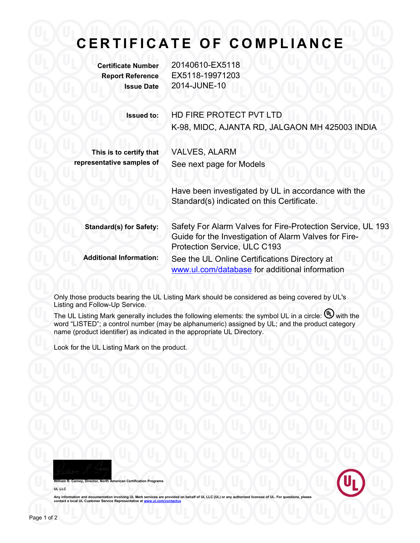## **C E R T I F I C A T E O F C O M P L I A N C E**

**Certificate Number** 20140610-EX5118 **Report Reference** EX5118-19971203 **Issue Date** 2014-JUNE-10

**Issued to:** HD FIRE PROTECT PVT LTD

K-98, MIDC, AJANTA RD, JALGAON MH 425003 INDIA

**This is to certify that representative samples of** VALVES, ALARM See next page for Models

Have been investigated by UL in accordance with the Standard(s) indicated on this Certificate.

**Standard(s) for Safety:** Safety For Alarm Valves for Fire-Protection Service, UL 193 Guide for the Investigation of Alarm Valves for Fire-Protection Service, ULC C193 **Additional Information:** See the UL Online Certifications Directory at [www.ul.com/database](http://www.ul.com/database) for additional information

Only those products bearing the UL Listing Mark should be considered as being covered by UL's Listing and Follow-Up Service.

The UL Listing Mark generally includes the following elements: the symbol UL in a circle:  $\mathbb{U}$  with the word "LISTED"; a control number (may be alphanumeric) assigned by UL; and the product category name (product identifier) as indicated in the appropriate UL Directory.

Look for the UL Listing Mark on the product.

**William Sertification Programs** 





Any information and documentation involving UL Mark services are provided on behalf of UL LLC (UL) or any authorized licensee of UL. For questions, please<br>contact a local UL Customer Service Representative at <u>www.ul.com/c</u>